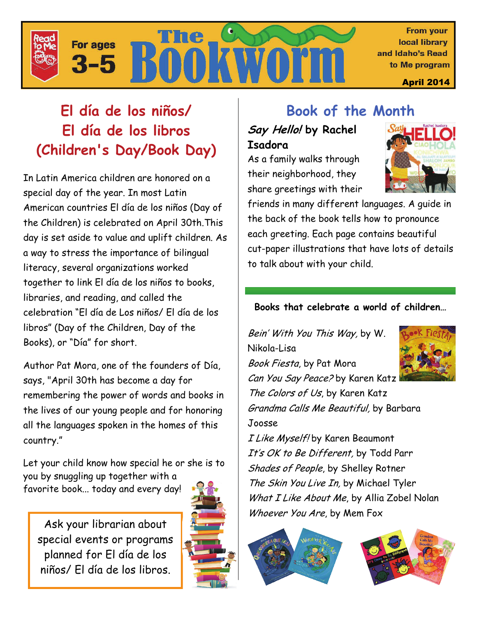

# **El día de los niños/ El día de los libros (Children's Day/Book Day)**

In Latin America children are honored on a special day of the year. In most Latin American countries El día de los niños (Day of the Children) is celebrated on April 30th.This day is set aside to value and uplift children. As a way to stress the importance of bilingual literacy, several organizations worked together to link El día de los niños to books, libraries, and reading, and called the celebration "El día de Los niños/ El día de los libros" (Day of the Children, Day of the Books), or "Día" for short.

Author Pat Mora, one of the founders of Día, says, "April 30th has become a day for remembering the power of words and books in the lives of our young people and for honoring all the languages spoken in the homes of this country."

Let your child know how special he or she is to

you by snuggling up together with a favorite book... today and every day!

Ask your librarian about special events or programs planned for El día de los niños/ El día de los libros.



# **Book of the Month**

## **Say Hello! by Rachel Isadora**

As a family walks through their neighborhood, they share greetings with their



friends in many different languages. A guide in the back of the book tells how to pronounce each greeting. Each page contains beautiful cut-paper illustrations that have lots of details to talk about with your child.

### **Books that celebrate a world of children…**

Bein' With You This Way, by W. Nikola-Lisa Book Fiesta, by Pat Mora Can You Say Peace? by Karen Katz The Colors of Us, by Karen Katz Grandma Calls Me Beautiful, by Barbara Joosse



I Like Myself! by Karen Beaumont It's OK to Be Different, by Todd Parr Shades of People, by Shelley Rotner The Skin You Live In, by Michael Tyler What I Like About Me, by Allia Zobel Nolan Whoever You Are, by Mem Fox